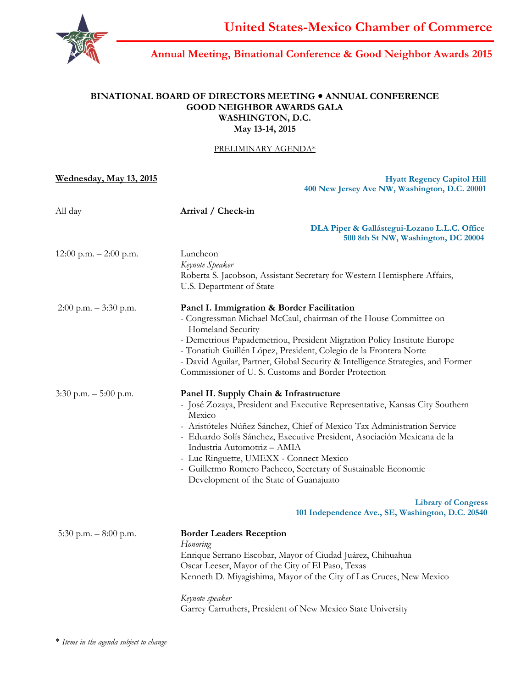

# **Annual Meeting, Binational Conference & Good Neighbor Awards 2015**

### **BINATIONAL BOARD OF DIRECTORS MEETING ANNUAL CONFERENCE GOOD NEIGHBOR AWARDS GALA WASHINGTON, D.C. May 13-14, 2015**

#### PRELIMINARY AGENDA\*

**Wednesday, May 13, 2015**

**Hyatt Regency Capitol Hill 400 New Jersey Ave NW, Washington, D.C. 20001**

| All day                  | Arrival / Check-in                                                                                                                                                                                                                                                                                                                                                                                                                                                                                        |
|--------------------------|-----------------------------------------------------------------------------------------------------------------------------------------------------------------------------------------------------------------------------------------------------------------------------------------------------------------------------------------------------------------------------------------------------------------------------------------------------------------------------------------------------------|
|                          | DLA Piper & Gallástegui-Lozano L.L.C. Office<br>500 8th St NW, Washington, DC 20004                                                                                                                                                                                                                                                                                                                                                                                                                       |
| 12:00 p.m. $-2:00$ p.m.  | Luncheon<br>Keynote Speaker<br>Roberta S. Jacobson, Assistant Secretary for Western Hemisphere Affairs,<br>U.S. Department of State                                                                                                                                                                                                                                                                                                                                                                       |
| $2:00$ p.m. $-3:30$ p.m. | Panel I. Immigration & Border Facilitation<br>- Congressman Michael McCaul, chairman of the House Committee on<br>Homeland Security<br>- Demetrious Papademetriou, President Migration Policy Institute Europe<br>- Tonatiuh Guillén López, President, Colegio de la Frontera Norte<br>- David Aguilar, Partner, Global Security & Intelligence Strategies, and Former<br>Commissioner of U.S. Customs and Border Protection                                                                              |
| $3:30$ p.m. $-5:00$ p.m. | Panel II. Supply Chain & Infrastructure<br>- José Zozaya, President and Executive Representative, Kansas City Southern<br>Mexico<br>- Aristóteles Núñez Sánchez, Chief of Mexico Tax Administration Service<br>- Eduardo Solís Sánchez, Executive President, Asociación Mexicana de la<br>Industria Automotriz - AMIA<br>- Luc Ringuette, UMEXX - Connect Mexico<br>- Guillermo Romero Pacheco, Secretary of Sustainable Economic<br>Development of the State of Guanajuato<br><b>Library of Congress</b> |
|                          | 101 Independence Ave., SE, Washington, D.C. 20540                                                                                                                                                                                                                                                                                                                                                                                                                                                         |
| 5:30 p.m. $-8:00$ p.m.   | <b>Border Leaders Reception</b><br>Honoring<br>Enrique Serrano Escobar, Mayor of Ciudad Juárez, Chihuahua<br>Oscar Leeser, Mayor of the City of El Paso, Texas<br>Kenneth D. Miyagishima, Mayor of the City of Las Cruces, New Mexico<br>Keynote speaker<br>Garrey Carruthers, President of New Mexico State University                                                                                                                                                                                   |